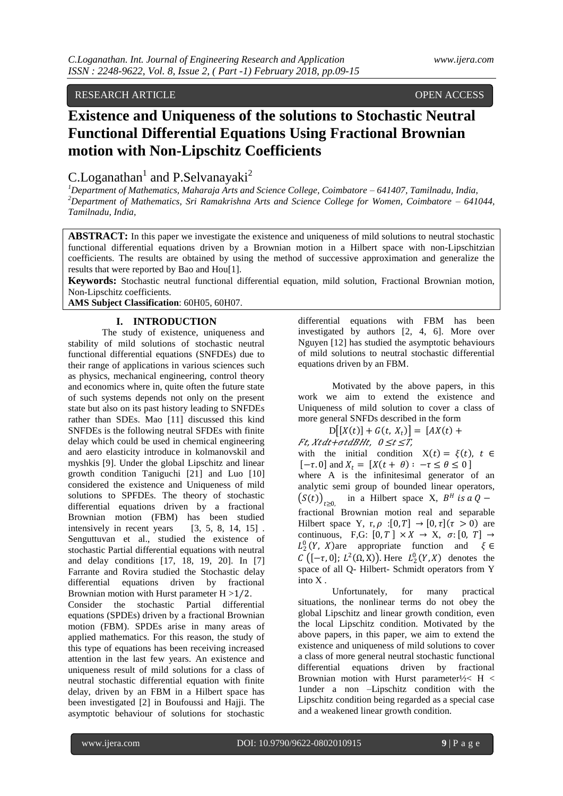## RESEARCH ARTICLE **OPEN ACCESS**

# **Existence and Uniqueness of the solutions to Stochastic Neutral Functional Differential Equations Using Fractional Brownian motion with Non-Lipschitz Coefficients**

C.Loganathan<sup>1</sup> and P.Selvanayaki<sup>2</sup>

*<sup>1</sup>Department of Mathematics, Maharaja Arts and Science College, Coimbatore – 641407, Tamilnadu, India, <sup>2</sup>Department of Mathematics, Sri Ramakrishna Arts and Science College for Women, Coimbatore – 641044, Tamilnadu, India,* 

**ABSTRACT:** In this paper we investigate the existence and uniqueness of mild solutions to neutral stochastic functional differential equations driven by a Brownian motion in a Hilbert space with non-Lipschitzian coefficients. The results are obtained by using the method of successive approximation and generalize the results that were reported by Bao and Hou[1].

**Keywords:** Stochastic neutral functional differential equation, mild solution, Fractional Brownian motion, Non-Lipschitz coefficients.

**AMS Subject Classification**: 60H05, 60H07.

## **I. INTRODUCTION**

The study of existence, uniqueness and stability of mild solutions of stochastic neutral functional differential equations (SNFDEs) due to their range of applications in various sciences such as physics, mechanical engineering, control theory and economics where in, quite often the future state of such systems depends not only on the present state but also on its past history leading to SNFDEs rather than SDEs. Mao [11] discussed this kind SNFDEs is the following neutral SFDEs with finite delay which could be used in chemical engineering and aero elasticity introduce in kolmanovskil and myshkis [9]. Under the global Lipschitz and linear growth condition Taniguchi [21] and Luo [10] considered the existence and Uniqueness of mild solutions to SPFDEs. The theory of stochastic differential equations driven by a fractional Brownian motion (FBM) has been studied intensively in recent years [3, 5, 8, 14, 15] . Senguttuvan et al., studied the existence of stochastic Partial differential equations with neutral and delay conditions [17, 18, 19, 20]. In [7] Farrante and Rovira studied the Stochastic delay differential equations driven by fractional Brownian motion with Hurst parameter  $H > 1/2$ . Consider the stochastic Partial differential equations (SPDEs) driven by a fractional Brownian motion (FBM). SPDEs arise in many areas of applied mathematics. For this reason, the study of this type of equations has been receiving increased attention in the last few years. An existence and uniqueness result of mild solutions for a class of neutral stochastic differential equation with finite delay, driven by an FBM in a Hilbert space has been investigated [2] in Boufoussi and Hajji. The asymptotic behaviour of solutions for stochastic

differential equations with FBM has been investigated by authors [2, 4, 6]. More over Nguyen [12] has studied the asymptotic behaviours of mild solutions to neutral stochastic differential equations driven by an FBM.

Motivated by the above papers, in this work we aim to extend the existence and Uniqueness of mild solution to cover a class of more general SNFDs described in the form

 $D[(X(t)] + G(t, X_t)] = [AX(t) +$  $Ft$ ,  $X t dt + \sigma t dB H t$ ,  $0 \le t \le T$ , with the initial condition  $X(t) = \xi(t)$ ,  $t \in$  $[-\tau. 0]$  and  $X_t = [X(t + \theta) : -\tau \le \theta \le 0]$ where A is the infinitesimal generator of an analytic semi group of bounded linear operators,  $(S(t))_{t \geq 0}$ , in a Hilbert space X,  $B^H$  is a Q – fractional Brownian motion real and separable Hilbert space Y, r,  $\rho : [0, T] \rightarrow [0, \tau]$  ( $\tau > 0$ ) are continuous, F,G:  $[0, T] \times X \to X$ ,  $\sigma: [0, T] \to$  $L_2^0(Y, X)$ are appropriate function and  $\xi \in$  $C\left([- \tau, 0]; L^2(\Omega, X)\right)$ . Here  $L^0_2(Y, X)$  denotes the space of all Q- Hilbert- Schmidt operators from Y into X .

Unfortunately, for many practical situations, the nonlinear terms do not obey the global Lipschitz and linear growth condition, even the local Lipschitz condition. Motivated by the above papers, in this paper, we aim to extend the existence and uniqueness of mild solutions to cover a class of more general neutral stochastic functional differential equations driven by fractional Brownian motion with Hurst parameter  $\frac{1}{2}$  H < 1under a non –Lipschitz condition with the Lipschitz condition being regarded as a special case and a weakened linear growth condition.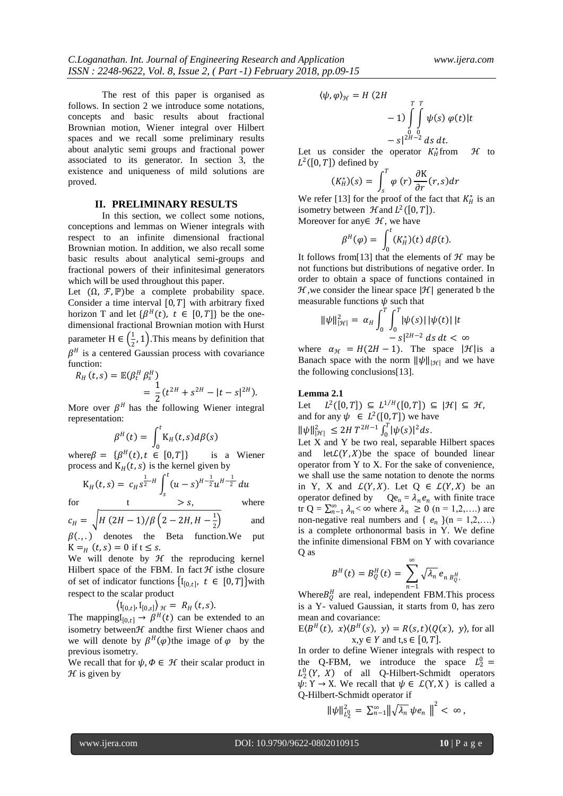The rest of this paper is organised as follows. In section 2 we introduce some notations, concepts and basic results about fractional Brownian motion, Wiener integral over Hilbert spaces and we recall some preliminary results about analytic semi groups and fractional power associated to its generator. In section 3, the existence and uniqueness of mild solutions are proved.

### **II. PRELIMINARY RESULTS**

In this section, we collect some notions. conceptions and lemmas on Wiener integrals with respect to an infinite dimensional fractional Brownian motion. In addition, we also recall some basic results about analytical semi-groups and fractional powers of their infinitesimal generators which will be used throughout this paper.

Let  $(\Omega, \mathcal{F}, \mathbb{P})$  be a complete probability space. Consider a time interval  $[0, T]$  with arbitrary fixed horizon T and let  $\{\beta^{H}(t), t \in [0, T]\}$  be the onedimensional fractional Brownian motion with Hurst parameter H  $\in$   $\left(\frac{1}{2}\right)$  $\frac{1}{2}$ , 1). This means by definition that  $\beta$ <sup>H</sup> is a centered Gaussian process with covariance function:

$$
R_H(t,s) = \mathbb{E}(\beta_t^H \beta_s^H)
$$
  
=  $\frac{1}{2} (t^{2H} + s^{2H} - |t - s|^{2H}).$ 

More over  $\beta^H$  has the following Wiener integral representation:

$$
\beta^{H}(t) = \int_{0}^{t} K_{H}(t,s) d\beta(s)
$$

where  $\beta = {\beta^H(t), t \in [0, T]}$  is a Wiener process and  $K_H(t, s)$  is the kernel given by

$$
K_H(t,s) = c_H s^{\frac{1}{2}-H} \int_s^t (u-s)^{H-\frac{1}{2}} u^{H-\frac{1}{2}} du
$$
  
for  $t > s$ , where

and

$$
c_H = \sqrt{H (2H - 1)/\beta \left(2 - 2H, H - \frac{1}{2}\right)}
$$

2  $\beta(.)$ . denotes the Beta function. We put  $K = H(t, s) = 0$  if  $t \leq s$ .

We will denote by  $H$  the reproducing kernel Hilbert space of the FBM. In fact  $H$  is the closure of set of indicator functions  $\{I_{[0,t]}, t \in [0,T]\}$  with respect to the scalar product

 $\langle I_{[0,t]}, I_{[0,s]} \rangle_{\mathcal{H}} = R_H(t,s).$ 

The mapping  $I_{[0,t]} \rightarrow \beta^H(t)$  can be extended to an isometry between *H* and the first Wiener chaos and we will denote by  $\beta^H(\varphi)$  the image of  $\varphi$  by the previous isometry.

We recall that for  $\psi$ ,  $\Phi \in \mathcal{H}$  their scalar product in  $H$  is given by

$$
\langle \psi, \varphi \rangle_{\mathcal{H}} = H (2H
$$
  
-1) 
$$
\int_{0}^{T} \int_{0}^{T} \psi(s) \varphi(t) |t
$$
  
-s|<sup>2H-2</sup> ds dt.

Let us consider the operator  $K_H^*$  $\mathcal H$  to  $L^2([0,T])$  defined by

$$
(K_H^*)(s) = \int_s^T \varphi(r) \frac{\partial K}{\partial r}(r,s) dr
$$

We refer [13] for the proof of the fact that  $K_H^*$  is an isometry between  $\mathcal{H}$  and  $L^2([0, T])$ .

Moreover for any  $\in \mathcal{H}$ , we have

$$
\beta^H(\varphi) = \int_0^t (K_H^*)(t) \, d\beta(t).
$$

It follows from[13] that the elements of  $\mathcal{H}$  may be not functions but distributions of negative order. In order to obtain a space of functions contained in  $H$ , we consider the linear space  $|\mathcal{H}|$  generated b the measurable functions  $\psi$  such that

$$
\|\psi\|_{|\mathcal{H}|}^2 = \alpha_H \int_0^T \int_0^T |\psi(s)| |\psi(t)| |t
$$
  
- s|^{2H-2} ds dt < \infty

where  $\alpha_{\mathcal{H}} = H(2H - 1)$ . The space  $|\mathcal{H}|$  is a Banach space with the norm  $\|\psi\|_{\mathcal{H}}$  and we have the following conclusions[13].

## **Lemma 2.1**

Let  $L^2([0,T]) \subseteq L^{1/H}([0,T]) \subseteq |\mathcal{H}| \subseteq \mathcal{H},$ and for any  $\psi \in L^2([0,T])$  we have  $\|\psi\|_{\mathcal{H}|}^2 \le 2H T^{2H-1} \int_0^T |\psi(s)|^2 ds$  $\int_0^1 |\psi(s)|^2 ds.$ 

Let X and Y be two real, separable Hilbert spaces and  $letL(Y, X)$  be the space of bounded linear operator from Y to X. For the sake of convenience, we shall use the same notation to denote the norms in Y, X and  $\mathcal{L}(Y,X)$ . Let  $Q \in \mathcal{L}(Y,X)$  be an operator defined by  $Qe_n = \lambda_n e_n$  with finite trace tr Q =  $\sum_{n=1}^{\infty} \lambda_n < \infty$  where  $\lambda_n \ge 0$  (n = 1,2,....) are non-negative real numbers and {  $e_n$  }(n = 1,2,...) is a complete orthonormal basis in Y. We define the infinite dimensional FBM on Y with covariance Q as

$$
B^H(t) = B_Q^H(t) = \sum_{n=1}^{\infty} \sqrt{\lambda_n} e_{n B_Q^H},
$$

Where  $B_Q^H$  are real, independent FBM. This process is a Y- valued Gaussian, it starts from 0, has zero mean and covariance:

 $E\langle B^H(t), x\rangle\langle B^H(s), y\rangle = R(s,t)\langle Q(x), y\rangle$ , for all  $x,y \in Y$  and  $t,s \in [0,T]$ .

In order to define Wiener integrals with respect to the Q-FBM, we introduce the space  $L_2^0 =$  $L_2^0(Y, X)$  of all Q-Hilbert-Schmidt operators  $\psi: Y \to X$ . We recall that  $\psi \in \mathcal{L}(Y, X)$  is called a Q-Hilbert-Schmidt operator if

$$
\|\psi\|_{L_2^0}^2 = \sum_{n=1}^\infty \|\sqrt{\lambda_n} \,\psi e_n\,\|^2 < \infty\,,
$$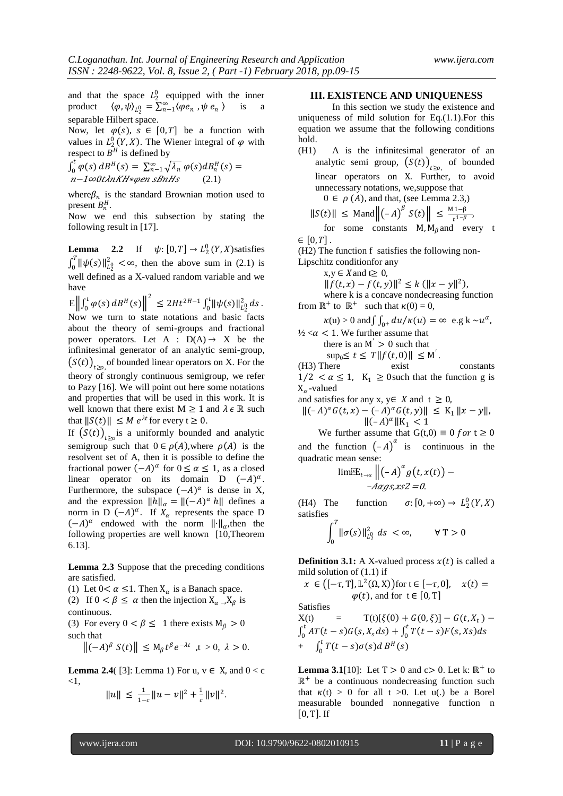and that the space  $L_2^0$  equipped with the inner product  $\langle \varphi, \psi \rangle_{L_2^0} = \sum_{n=1}^{\infty} \langle \varphi e_n, \psi e_n \rangle$  is a separable Hilbert space.

Now, let  $\varphi(s)$ ,  $s \in [0, T]$  be a function with values in  $L_2^0(Y, X)$ . The Wiener integral of  $\varphi$  with respect to  $B<sup>H</sup>$  is defined by

$$
\int_0^t \varphi(s) dB^H(s) = \sum_{n=1}^{\infty} \sqrt{\lambda_n} \varphi(s) dB_n^H(s) =
$$
  

$$
n - 1 \infty 0 \t \text{lambda} K H * \varphi en sB n H s
$$
 (2.1)

where  $\beta_n$  is the standard Brownian motion used to present  $B_n^H$ .

Now we end this subsection by stating the following result in [17].

**Lemma** 2.2 If  $\psi: [0, T] \to L_2^0(Y, X)$  satisfies  $\int_0^T ||\psi(s)||_{L_2^0}^2 < \infty$ , then the above sum in (2.1) is well defined as a X-valued random variable and we have

 $E\| \int_0^t \varphi(s)$  $\left\| \int_0^t \varphi(s) \, dB^H(s) \right\|^2 \leq 2H t^{2H-1} \int_0^t \left\| \psi(s) \right\|_{L^0_2}^2 ds$  $\int_0^{\tau_0} ||\psi(s)||_{L_2^0}^2 ds$  . Now we turn to state notations and basic facts about the theory of semi-groups and fractional power operators. Let A :  $D(A) \rightarrow X$  be the infinitesimal generator of an analytic semi-group,  $(S(t))_{t\geq0}$ , of bounded linear operators on X. For the theory of strongly continuous semigroup, we refer to Pazy [16]. We will point out here some notations and properties that will be used in this work. It is well known that there exist  $M \geq 1$  and  $\lambda \in \mathbb{R}$  such that  $||S(t)|| \leq M e^{\lambda t}$  for every  $t \geq 0$ .

If  $(S(t))_{t\geq0}$  is a uniformly bounded and analytic semigroup such that  $0 \in \rho(A)$ , where  $\rho(A)$  is the resolvent set of A, then it is possible to define the fractional power  $(-A)^{\alpha}$  for  $0 \le \alpha \le 1$ , as a closed linear operator on its domain D  $(-A)^{\alpha}$ . Furthermore, the subspace  $(-A)^{\alpha}$  is dense in X, and the expression  $||h||_{\alpha} = ||(-A)^{\alpha} h||$  defines a norm in D  $(-A)^{\alpha}$ . If  $X_{\alpha}$  represents the space D  $(-A)^{\alpha}$  endowed with the norm  $\|\cdot\|_{\alpha}$ , then the following properties are well known [10,Theorem 6.13].

**Lemma 2.3** Suppose that the preceding conditions are satisfied.

(1) Let  $0 < \alpha \leq 1$ . Then  $X_{\alpha}$  is a Banach space.

(2) If  $0 < \beta \le \alpha$  then the injection  $X_{\alpha} \rightarrow X_{\beta}$  is continuous.

(3) For every  $0 < \beta \leq 1$  there exists  $M_\beta > 0$ such that

$$
\left\| (-A)^{\beta} S(t) \right\| \leq M_{\beta} t^{\beta} e^{-\lambda t} , t > 0, \ \lambda > 0.
$$

**Lemma 2.4**( [3]: Lemma 1) For u,  $v \in X$ , and  $0 < c$  $<1$ .

$$
||u|| \le \frac{1}{1-c}||u-v||^2 + \frac{1}{c}||v||^2.
$$

#### **III. EXISTENCE AND UNIQUENESS**

In this section we study the existence and uniqueness of mild solution for Eq.(1.1).For this equation we assume that the following conditions hold.

(H1) A is the infinitesimal generator of an analytic semi group,  $(S(t))_{t\geq0}$  of bounded linear operators on Χ. Further, to avoid unnecessary notations, we,suppose that  $0 \in \rho(A)$ , and that, (see Lemma 2.3,)  $\|S(t)\| \leq \text{Mand} \left\| \left( -A \right)^{\beta} S(t) \right\| \leq \frac{M1-\beta}{M-1-\beta}$  $\frac{11-p}{t^{1-\beta}}$ 

for some constants 
$$
M, M_\beta
$$
 and every  $t \in [0, T]$ .

(H2) The function f satisfies the following non-

Lipschitz conditionfor any

 $x,y \in X$  and  $t \geq 0$ ,

$$
||f(t,x) - f(t,y)||^2 \le k (||x - y||^2),
$$

where k is a concave nondecreasing function from  $\mathbb{R}^+$  to  $\mathbb{R}^+$  such that  $\kappa(0) = 0$ ,

$$
\kappa(\mathbf{u}) > 0
$$
 and  $\int_{0^+} du / \kappa(u) = \infty$  e.g  $\mathbf{k} \sim u^{\alpha}$ ,

 $\frac{1}{2} < \alpha < 1$ . We further assume that there is an  $M' > 0$  such that

 $\sup_0 \le t \le T || f(t, 0) || \le M'.$ 

(H3) There exist constants  $1/2 < \alpha \leq 1$ ,  $K_1 \geq 0$  such that the function g is  $X_{\alpha}$ -valued

and satisfies for any x,  $y \in X$  and  $t \geq 0$ ,

 $||(-A)^{\alpha} G(t,x) - (-A)^{\alpha} G(t,y)|| \leq K_1 ||x - y||,$  $\|(-A)^{\alpha}\|K_1\|<1$ 

We further assume that  $G(t,0) \equiv 0$  for  $t \ge 0$ and the function  $(-A)^{\alpha}$  is continuous in the quadratic mean sense:

$$
\lim_{t\to s}\Big\|(-A)^{\alpha}g\big(t,x(t)\big)-\underset{-A\alpha g s, x s 2=0}{\longrightarrow}.
$$

(H4) The function  $\sigma: [0, +\infty) \to L_2^0(Y, X)$ satisfies

$$
\int_0^T \|\sigma(s)\|_{L_2^0}^2 ds < \infty, \qquad \forall \ T > 0
$$

**Definition 3.1:** A X-valued process  $x(t)$  is called a mild solution of (1.1) if

$$
x \in \left( [-\tau, T], \mathbb{L}^2(\Omega, X) \right) \text{ for } t \in [-\tau, 0], \quad x(t) =
$$
  
  $\varphi(t), \text{ and for } t \in [0, T]$ 

**Satisfies** 

 $X(t) = T(t)[\xi(0) + G(0,\xi)] - G(t, X_t) \int_0^t AT(t-s)G(s,X_sds) + \int_0^t T(t-s)F(s,Xs)ds$ 0  $\boldsymbol{t}$  $\int_0^t AT(t-s)G(s,X_sds) + \int_0^t T(t-s)F(s,Xs)ds$ +  $\int_0^t T(t-s)\sigma(s)ds$  $\int_0^t T(t-s)\sigma(s)dB^H(s)$ 

**Lemma 3.1**[10]: Let  $T > 0$  and  $c > 0$ . Let k:  $\mathbb{R}^+$  to ℝ <sup>+</sup> be a continuous nondecreasing function such that  $\kappa(t) > 0$  for all  $t > 0$ . Let u(.) be a Borel measurable bounded nonnegative function n  $[0, T]$ . If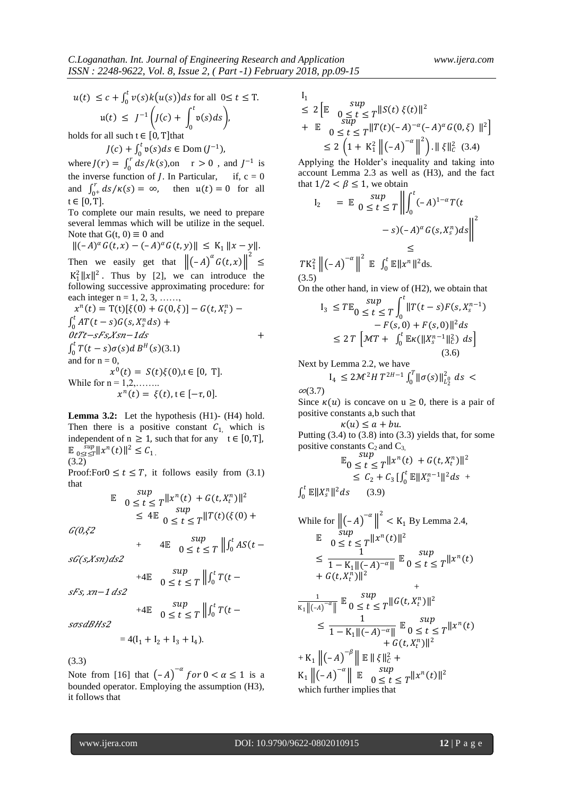$$
u(t) \le c + \int_0^t v(s)k(u(s))ds \text{ for all } 0 \le t \le T.
$$
  

$$
u(t) \le J^{-1}\left(J(c) + \int_0^t v(s)ds\right),
$$

holds for all such  $t \in [0, T]$ that

$$
J(c) + \int_0^t \mathfrak{v}(s)ds \in \text{Dom}\,(J^{-1}),
$$

where  $J(r) = \int_0^r ds / k(s)$ ,  $\int_0^r ds / k(s)$ , on  $r > 0$ , and  $J^{-1}$  is the inverse function of *J*. In Particular, if,  $c = 0$ and  $\int_{0^+}^{r} ds / \kappa(s) = \infty$ , then  $u(t) = 0$  for all  $t \in [0, T]$ .

To complete our main results, we need to prepare several lemmas which will be utilize in the sequel. Note that  $G(t, 0) \equiv 0$  and

 $||(-A)^{\alpha} G(t,x) - (-A)^{\alpha} G(t,y)|| \leq K_1 ||x - y||.$ Then we easily get that  $\left\| \begin{pmatrix} -A \end{pmatrix}^{\alpha} G(t, x) \right\|^2 \le$  $K_1^2 ||x||^2$ . Thus by [2], we can introduce the following successive approximating procedure: for each integer n = 1, 2, 3, ......,<br> $r^{n}(t) - T(t)[\xi(0)] + C(0)$  $\boldsymbol{n}$ 

$$
x^{n}(t) = T(t)[\xi(0) + G(0,\xi)] - G(t, X_{t}^{n}) -
$$
  
\n
$$
\int_{0}^{t} AT(t - s)G(s, X_{s}^{n} ds) +
$$
  
\n
$$
0tTt - sFs, Xsn - 1ds
$$
  
\n
$$
\int_{0}^{t} T(t - s) \sigma(s)dB^{H}(s)(3.1)
$$
  
\nand for n = 0,  
\n
$$
x^{0}(t) = S(t)\xi(0), t \in [0, T].
$$
  
\nWhile for n = 1,2,......  
\n
$$
x^{n}(t) = \xi(t), t \in [-\tau, 0].
$$

**Lemma 3.2:** Let the hypothesis (H1)- (H4) hold. Then there is a positive constant  $C_{1}$ , which is independent of  $n \ge 1$ , such that for any  $t \in [0, T]$ ,  $\mathbb{E} \sup_{0 \le t \le T} \|x^n(t)\|^2 \le C_1$ . (3.2)

Proof:For $0 \le t \le T$ , it follows easily from (3.1) that

$$
\mathbb{E} \quad 0 \le t \le T \|\mathbf{x}^n(t) + G(t, \mathbf{X}_t^n)\|^2
$$
  
\n
$$
\le 4 \mathbb{E} \quad 0 \le t \le T \|\mathbf{T}(t)(\xi(0) + \xi(0))\|^2
$$

 $G(0,\xi 2)$ 

$$
+ \qquad 4\mathbb{E} \quad 0 \le t \le T \left\| \int_0^t AS(t -
$$

 $sG(s, Xsn)ds2$ 

$$
+4\mathbb{E} \quad 0 \leq t \leq T \left\| \int_0^t T(t -
$$

sun

 $sFs$ ,  $xn-1$   $ds2$ 

$$
+4\mathbb{E} \quad 0 \le t \le T \left\| \int_0^t T(t -
$$

sosdBHs2

$$
=4(I_1 + I_2 + I_3 + I_4).
$$

(3.3)

Note from [16] that  $(-A)^{-\alpha}$  for  $0 < \alpha \le 1$  is a bounded operator. Employing the assumption (H3), it follows that

$$
I_1
$$
  
\n
$$
\leq 2 \left[ \mathbb{E} \underset{0 \leq t \leq T}{\sup} ||S(t) \xi(t)||^2
$$
  
\n
$$
+ \mathbb{E} \underset{0 \leq t \leq T}{\sup} ||T(t)(-A)^{-\alpha}(-A)^{\alpha}G(0,\xi)||^2 \right]
$$
  
\n
$$
\leq 2 \left( 1 + K_1^2 ||(-A)^{-\alpha}||^2 \right) . ||\xi||_C^2 (3.4)
$$

Applying the Holder's inequality and taking into account Lemma 2.3 as well as (H3), and the fact that  $1/2 < \beta \leq 1$ , we obtain

$$
I_2 = \mathbb{E} \left\| \int_0^t (-A)^{1-\alpha} T(t
$$
  

$$
-s)(-A)^{\alpha} G(s, X_s^n) ds \right\|^2
$$
  

$$
\leq
$$
  

$$
TK_1^2 \left\| (-A)^{-\alpha} \right\|^2 \mathbb{E} \left\| \int_0^t \mathbb{E} \|x^n\|^2 ds \right\|^2
$$

 $(3.5)$ On the other hand, in view of (H2), we obtain that

$$
I_3 \leq T \mathbb{E}_0 \leq t \leq T \int_0^t \|T(t-s)F(s,X_s^{n-1}) - F(s,0) + F(s,0)\|^2 ds
$$
  
\n
$$
\leq 2 T \left[ \mathcal{M}T + \int_0^t \mathbb{E} \kappa(\|X_s^{n-1}\|_C^2) ds \right]
$$
  
\n(3.6)

Next by Lemma 2.2, we have

$$
I_4 \leq 2 \mathcal{M}^2 H T^{2H-1} \int_0^T ||\sigma(s)||_{L_2^0}^2 ds <
$$

 $\infty$ (3.7) Since  $\kappa(u)$  is concave on  $u \ge 0$ , there is a pair of positive constants a,b such that

 $\kappa(u) \leq a + bu$ .

Putting  $(3.4)$  to  $(3.8)$  into  $(3.3)$  yields that, for some positive constants  $C_2$  and  $C_3$ ,  $\mathfrak{snr}$ 

$$
\mathbb{E}_0 \le t \le T \|x^n(t) + G(t, X_t^n)\|^2
$$
  
\n
$$
\le C_2 + C_3 \left[\int_0^t \mathbb{E} \|X_s^{n-1}\|^2 ds \right]
$$
  
\n
$$
\int_0^t \mathbb{E} \|X_s^n\|^2 ds \qquad (3.9)
$$

While for 
$$
\|( -A)^{-\alpha}\|^2 < K_1
$$
 By Lemma 2.4,  
\n $\mathbb{E} \quad 0 \le t \le T^{\|x^n(t)\|^2}$   
\n $\le \frac{1}{1 - K_1 \|(-A)^{-\alpha}\|} \mathbb{E} \quad 0 \le t \le T^{\|x^n(t)\|}$   
\n $+ G(t, X_t^n)\|^2$   
\n $\frac{1}{K_1 \|( -A)^{-\alpha}\|} \mathbb{E} \quad 0 \le t \le T^{\|G(t, X_t^n)\|^2}$   
\n $\le \frac{1}{1 - K_1 \|( -A)^{-\alpha}\|} \mathbb{E} \quad 0 \le t \le T^{\|x^n(t)\|}$   
\n $+ G(t, X_t^n)\|^2$   
\n $+ K_1 \|( -A)^{-\beta}\| \mathbb{E} \quad \|\xi\|^2 +$   
\n $K_1 \|( -A)^{-\alpha}\| \mathbb{E} \quad 0 \le t \le T^{\|x^n(t)\|^2}$ 

which further implies that

 $\boldsymbol{0}$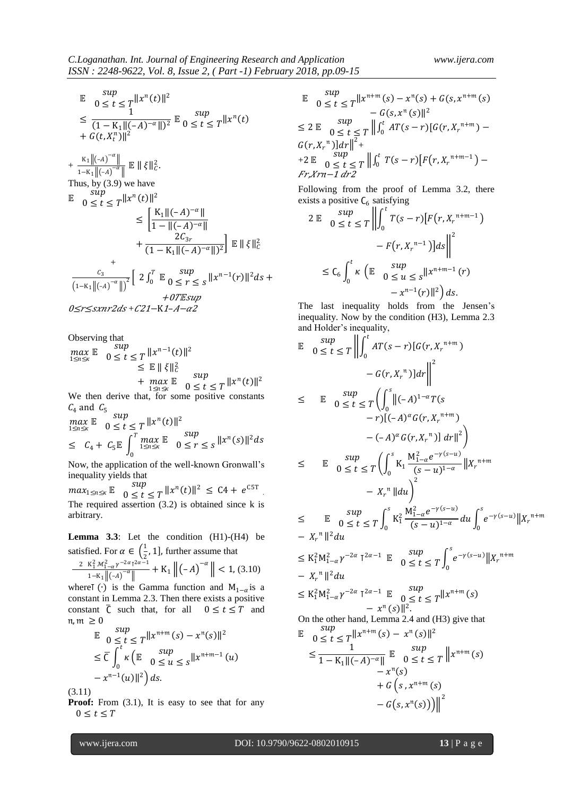$$
\mathbb{E} \quad 0 \le t \le T \le \frac{\sup}{1} \n\le \frac{1}{(1 - K_1 || (-A)^{-\alpha} ||)^2} \mathbb{E} \quad 0 \le t \le T \le T \le T
$$
\n
$$
+ G(t, X_t^n) ||^2
$$

 $+\frac{K_1 \|(A)^{-\alpha}\|}{\sqrt{K_1 \|(A)^{-\alpha}\|}}$  $\frac{\kappa_1 \|( \zeta - A) \|}{1 - \kappa_1 \|( \zeta - A)^{-\alpha} \|} \mathbb{E} \| \xi \|_{C}^2.$ Thus, by (3.9) we have  $\mathbb{E}$   $\begin{array}{c} \text{sup} \\ 0 \leq t \end{array}$  $0 \le t \le T^{||x^n(t)||^2}$  $\leq \left[ \frac{K_1 \| (-A)^{-\alpha} \|}{1 - \| (-A)^{-\alpha} \|} \right]$  $1 - ||(-A)^{-\alpha}||$  $+\frac{2C_{3r}}{(1 - W)^2}$  $\frac{2Q_3r}{(1 - K_1 || (-A)^{-\alpha} ||)^2}$  E  $|| \xi ||_C^2$ +  $\mathcal{C}_3$  $\frac{c_3}{(1-K_1 || (-A)^{-\alpha} ||)^2} \left[ 2 \int_0^T \mathbb{E} 0 \leq t \right]$  $0 \leq r \leq s$  $\boldsymbol{T}$  $\int_0^l$   $\mathbb{E} \int \int_0^s \frac{\sinh(\theta)}{\sinh(\theta)} d\theta$  =  $\int_0^l |x^{n-1}(r)|^2 ds$  +  $+0$ T $E$ sup 0≤r<sxnr2ds+C21-K1-A-α2

Observing that

$$
\begin{array}{ll}\n\max_{1 \le n \le x} \mathbb{E} & \sup_{0 \le t \le T} \|x^{n-1}(t)\|^2 \\
& \le \mathbb{E} \|\xi\|_c^2 \\
& \quad + \max_{1 \le n \le x} \mathbb{E} & \sup_{0 \le t \le T} \|x^n(t)\|^2 \\
\end{array}
$$
\nWe then derive that, for some positive constants

 $C_4$  and  $C_5$  sup

$$
\max_{1 \le n \le \kappa} \mathbb{E} \quad 0 \le t \le T \quad ||x^n(t)||^2
$$
  
\n
$$
\le C_4 + C_5 \mathbb{E} \int_0^T \max_{1 \le n \le \kappa} \mathbb{E} \quad 0 \le r \le s \quad ||x^n(s)||^2 ds
$$

Now, the application of the well-known Gronwall's inequality yields that

 $max_{1 \le n \le \kappa}$  E  $\begin{array}{c} sup \\ 0 \le t \end{array}$  $0 \le t \le T \, ||x^n(t)||^2 \le C4 + e^{C5T}$ The required assertion  $(3.2)$  is obtained since k is arbitrary.

Lemma 3.3: Let the condition (H1)-(H4) be satisfied. For  $\alpha \in \left(\frac{1}{2}\right)$  $\frac{1}{2}$ , 1], further assume that 2  $K_1^2 \mathcal{M}_{1-\alpha}^2 \gamma^{-2\alpha} T^{2\alpha-1}$  $-\frac{2\alpha}{\pi}$  + K<sub>1</sub>  $\left\| (-A)^{-\alpha} \right\|$  < 1, (3.10)

$$
1-K_1 \parallel (-A)^{-\alpha} \parallel
$$
  $1+\alpha$   $\parallel$   $1+\alpha$   $\parallel$   $1+\alpha$   $\parallel$   $1+\alpha$ 

constant  $\overline{C}$  such that, for all  $0 \le t \le T$  and  $\mathfrak{m}, \mathfrak{m} \geq 0$  $\frac{1}{2}$ 

$$
\mathbb{E} \quad 0 \le t \le T \|\mathbf{x}^{n+m}(s) - \mathbf{x}^{n}(s)\|^2
$$
\n
$$
\le \overline{C} \int_0^t \kappa \left( \mathbb{E} \quad 0 \le u \le s \|\mathbf{x}^{n+m-1}(u) - \mathbf{x}^{n-1}(u)\|^2 \right) ds.
$$

(3.11)

**Proof:** From (3.1), It is easy to see that for any  $0 \leq t \leq T$ 

$$
\mathbb{E} \quad 0 \le t \le T \|\mathbf{x}^{n+m}(s) - \mathbf{x}^{n}(s) + G(s, \mathbf{x}^{n+m}(s))
$$
\n
$$
-G(s, \mathbf{x}^{n}(s))\|^{2}
$$
\n
$$
\le 2 \mathbb{E} \quad 0 \le t \le T \|\int_{0}^{t} AT(s-r)[G(r, X_{r}^{n+m}) - G(r, X_{r}^{n})]dr\|^{2} +
$$
\n
$$
+2 \mathbb{E} \quad 0 \le t \le T \|\int_{0}^{t} T(s-r)[F(r, X_{r}^{n+m-1}) - G(r, X_{r}^{n+m-1})]
$$

Fr,Xrn−1 dr2

Following from the proof of Lemma 3.2, there exists a positive  $C_6$  satisfying

0

$$
2 \mathbb{E} \quad 0 \le t \le T \left\| \int_0^t T(s-r) \left[ F(r, X_r^{n+m-1}) \right] ds \right\|^2
$$
  

$$
- F(r, X_r^{n-1}) \left\| ds \right\|^2
$$
  

$$
\le C_6 \int_0^t \kappa \left( \mathbb{E} \quad 0 \le u \le s \left\| X^{n+m-1} \right( r) \right. \\ \left. - x^{n-1}(r) \right\|^2 \right) ds.
$$

The last inequality holds from the Jensen's inequality. Now by the condition (H3), Lemma 2.3 and Holder's inequality,

$$
\mathbb{E} \quad \sup_{0 \leq t \leq T} \left\| \int_{0}^{t} AT(s - r)[G(r, X_{r}^{n+m}) - G(r, X_{r}^{n})]dr \right\|^{2}
$$
\n
$$
\leq \quad \mathbb{E} \quad \sup_{0 \leq t \leq T} \left( \int_{0}^{s} \|(-A)^{1-\alpha}T(s - r)[(-A)^{\alpha}G(r, X_{r}^{n+m}) - (-A)^{\alpha}G(r, X_{r}^{n})] dr \right\|^{2} \right)
$$
\n
$$
\leq \quad \mathbb{E} \quad \sup_{0 \leq t \leq T} \left( \int_{0}^{s} K_{1} \frac{M_{1-\alpha}^{2}e^{-\gamma(s-u)}}{(s-u)^{1-\alpha}} \|X_{r}^{n+m} - X_{r}^{n} \|du \right)^{2}
$$
\n
$$
\leq \quad \mathbb{E} \quad \sup_{0 \leq t \leq T} \int_{0}^{s} K_{1}^{2} \frac{M_{1-\alpha}^{2}e^{-\gamma(s-u)}}{(s-u)^{1-\alpha}} du \int_{0}^{s} e^{-\gamma(s-u)} \|X_{r}^{n+m} - X_{r}^{n} \|^{2} du
$$
\n
$$
\leq K_{1}^{2}M_{1-\alpha}^{2}\gamma^{-2\alpha} T^{2\alpha-1} \quad \mathbb{E} \quad \sup_{0 \leq t \leq T} \int_{0}^{s} e^{-\gamma(s-u)} \|X_{r}^{n+m} - X_{r}^{n} \|^{2} du
$$
\n
$$
\leq K_{1}^{2}M_{1-\alpha}^{2}\gamma^{-2\alpha} T^{2\alpha-1} \quad \mathbb{E} \quad \sup_{0 \leq t \leq T} \|x^{n+m}(s) - x^{n}(s) \|^{2}.
$$
\nOn the other hand, Lemma 2.4 and (H3) give that\n
$$
\mathbb{E} \quad \sup_{0 \leq t \leq T} \|x^{n+m}(s) - x^{n}(s) \|^{2}
$$
\n
$$
\leq \frac{1}{1 - K_{1} \| (-A)^{-\alpha} \|} \quad \mathbb{E} \quad \sup_{0 \leq t \leq T} \|x^{n+m}(s) - x^{n}(s) + G(s, x^{n+m}(s))
$$

$$
+ G\left(s, x^{n+m}\left(s\right)\right) - G\left(s, x^{n}\left(s\right)\right)\Big)\Big|^2
$$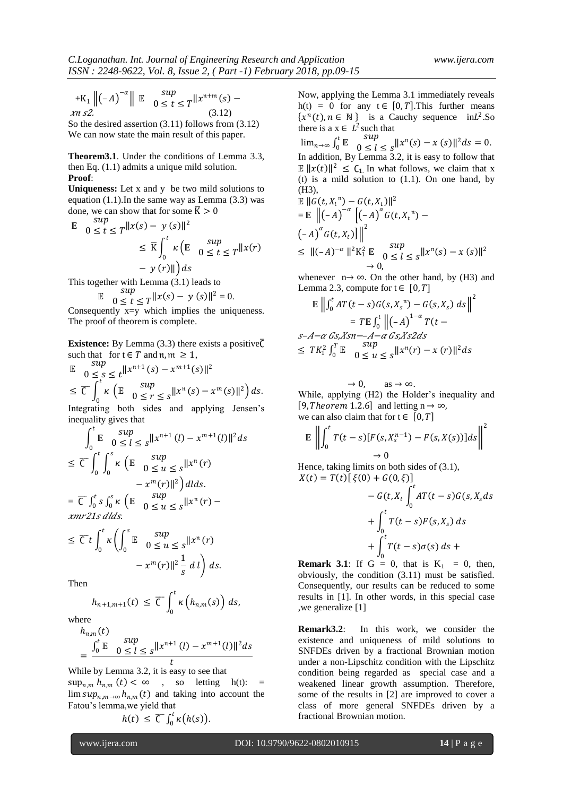$+K_1 \parallel (-A)^{-\alpha} \parallel E \quad \substack{\text{sup}}{0 \leq t}$  $0 \le t \le T^{||x^{n+m}(s) - ||}$  $\ln s2$ . (3.12)

So the desired assertion (3.11) follows from (3.12) We can now state the main result of this paper.

**Theorem3.1**. Under the conditions of Lemma 3.3, then Eq. (1.1) admits a unique mild solution. **Proof**:

**Uniqueness:** Let x and y be two mild solutions to equation  $(1.1)$ . In the same way as Lemma  $(3.3)$  was done, we can show that for some  $\bar{K} > 0$ 

$$
\mathbb{E} \quad 0 \le t \le T \quad \|x(s) - y(s)\|^2
$$
\n
$$
\le \overline{K} \int_0^t \kappa \left( \mathbb{E} \quad 0 \le t \le T \quad \|x(r)\| \right) ds
$$

This together with Lemma (3.1) leads to

$$
\mathbb{E} \quad \text{sup} \quad 0 \le t \le T \|\mathbf{x}(s) - \mathbf{y}(s)\|^2 = 0.
$$

Consequently x=y which implies the uniqueness. The proof of theorem is complete.

**Existence:** By Lemma (3.3) there exists a positive $\overline{C}$ such that for  $t \in T$  and  $n, m \ge 1$ ,

$$
\mathbb{E} \quad 0 \leq s \leq t \quad \lVert x^{n+1}(s) - x^{m+1}(s) \rVert^2
$$
\n
$$
\leq \overline{C} \int_0^t \kappa \left( \mathbb{E} \quad 0 \leq r \leq s \, \lVert x^n(s) - x^m(s) \rVert^2 \right) ds.
$$

Integrating both sides and applying Jensen's inequality gives that

$$
\int_0^t \mathbb{E} \quad \sup_{0 \le l \le s} \|x^{n+1}(l) - x^{m+1}(l)\|^2 ds
$$
  
\n
$$
\le \overline{C} \int_0^t \int_0^s \kappa \left( \mathbb{E} \quad \sup_{0 \le u \le s} \|x^n(r) - x^m(r)\|^2 \right) dds.
$$
  
\n
$$
= \overline{C} \int_0^t s \int_0^s \kappa \left( \mathbb{E} \quad \sup_{0 \le u \le s} \|x^n(r) - x^m(r)\|^2 \right) dds.
$$

$$
\leq \overline{C} t \int_0^t \kappa \left( \int_0^s \mathbb{E} \int_0^s \sigma \leq u \leq s \|\mathbf{x}^n(r) - \mathbf{x}^m(r)\|^2 \frac{1}{s} dt \right) ds.
$$

Then

$$
h_{n+1,m+1}(t) \leq \overline{C} \int_0^t \kappa\left(h_{n,m}(s)\right) ds,
$$

where

$$
h_{n,m}(t)
$$
  
= 
$$
\frac{\int_0^t \mathbb{E} \quad 0 \le l \le s} ||x^{n+1}(l) - x^{m+1}(l)||^2 ds}{t}
$$

While by Lemma 3.2, it is easy to see that  $\sup_{n,m} h_{n,m}(t) < \infty$  , so letting h(t): =  $\limsup_{n,m\to\infty} h_{n,m}(t)$  and taking into account the Fatou's lemma,we yield that

$$
h(t) \leq \overline{C} \int_0^t \kappa\big(h(s)\big).
$$

Now, applying the Lemma 3.1 immediately reveals h(t) = 0 for any  $t \in [0, T]$ . This further means  $\{x^n(t), n \in \mathbb{N}\}\$  is a Cauchy sequence in L<sup>2</sup>. So there is a  $x \in L^2$  such that

lim<sub>n→∞</sub>  $\int_0^t$  E  $\int_0^s$  Sup  $\int_{0}^{t} \mathbb{E} \quad \int_{0}^{Sup} \leq l \leq s \|\mathbf{x}^{(n)}(s) - \mathbf{x}(s)\|^2 ds$  $\int_0^t \mathbb{E} \quad 0 < l < s$   $||x^n(s) - x(s)||^2 ds = 0.$ In addition, By Lemma 3.2, it is easy to follow that  $\mathbb{E} ||x(t)||^2 \leq C_1$ . In what follows, we claim that x (t) is a mild solution to  $(1.1)$ . On one hand, by (H3),

$$
\mathbb{E} ||G(t, X_t^{n}) - G(t, X_t)||^2
$$
\n
$$
= \mathbb{E} \left\| (-A)^{-\alpha} \left[ (-A)^{\alpha} G(t, X_t^{n}) - (-A)^{\alpha} G(t, X_t) \right] \right\|^{2}
$$
\n
$$
\leq ||(-A)^{-\alpha}||^{2} K_1^{2} \mathbb{E} \quad \text{sup}_{0 \leq l \leq s} ||x^{n}(s) - x(s)||^{2}
$$
\n
$$
\to 0.
$$

whenever  $n \rightarrow \infty$ . On the other hand, by (H3) and Lemma 2.3, compute for  $t \in [0, T]$ 

$$
\mathbb{E} \left\| \int_0^t AT(t-s)G(s, X_s^{\mathfrak{n}}) - G(s, X_s) ds \right\|^2
$$
  
\n
$$
= T \mathbb{E} \int_0^t \left\| (-A)^{1-\alpha} T(t - s - A - \alpha \text{ Gs,} Xs2 ds \right\|^2
$$
  
\n
$$
\leq TK_1^2 \int_0^T \mathbb{E} \int_0^{Sup} \sup_{s \leq u \leq s} |x^{\mathfrak{n}}(r) - x(r)|^2 ds
$$

 $\rightarrow 0$ , as  $\rightarrow \infty$ . While, applying (H2) the Holder's inequality and [9, Theorem 1.2.6] and letting  $n \rightarrow \infty$ , we can also claim that for  $t \in [0, T]$ 

$$
\mathbb{E}\left\|\int_0^t T(t-s)[F(s,X^{n-1}_s)-F(s,X(s))]ds\right\|^2\to 0
$$

Hence, taking limits on both sides of (3.1),  $X(t) = T(t)[\xi(0) + G(0,\xi)]$ 

$$
-G(t, X_t \int_0^t AT(t-s)G(s, X_s ds
$$
  
+ 
$$
\int_0^t T(t-s)F(s, X_s) ds
$$
  
+ 
$$
\int_0^t T(t-s)\sigma(s) ds +
$$

**Remark 3.1**: If  $G = 0$ , that is  $K_1 = 0$ , then, obviously, the condition (3.11) must be satisfied. Consequently, our results can be reduced to some results in [1]. In other words, in this special case ,we generalize [1]

**Remark3.2**: In this work, we consider the existence and uniqueness of mild solutions to SNFDEs driven by a fractional Brownian motion under a non-Lipschitz condition with the Lipschitz condition being regarded as special case and a weakened linear growth assumption. Therefore, some of the results in [2] are improved to cover a class of more general SNFDEs driven by a fractional Brownian motion.